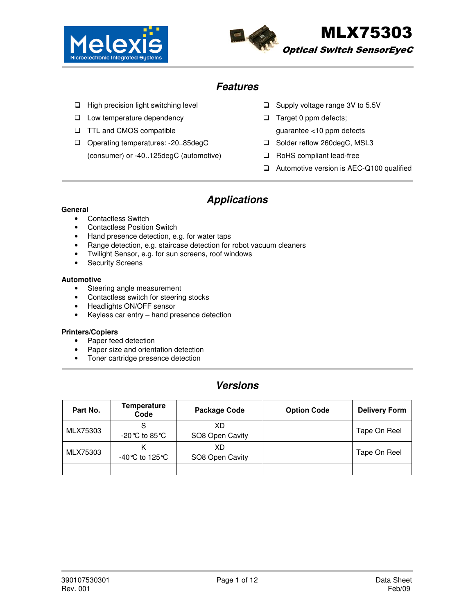



### **Features**

- $\Box$  High precision light switching level
- □ Low temperature dependency
- □ TTL and CMOS compatible
- □ Operating temperatures: -20..85degC
	- (consumer) or -40..125degC (automotive)
- $\Box$  Supply voltage range 3V to 5.5V
- $\Box$  Target 0 ppm defects; guarantee <10 ppm defects
- □ Solder reflow 260degC, MSL3
- □ RoHS compliant lead-free
- □ Automotive version is AEC-Q100 qualified

# **Applications**

#### **General**

- Contactless Switch
- Contactless Position Switch
- Hand presence detection, e.g. for water taps<br>• Range detection, e.g. staircase detection for
- Range detection, e.g. staircase detection for robot vacuum cleaners
- Twilight Sensor, e.g. for sun screens, roof windows
- Security Screens

#### **Automotive**

- Steering angle measurement
- Contactless switch for steering stocks
- Headlights ON/OFF sensor
- Keyless car entry hand presence detection

#### **Printers/Copiers**

- Paper feed detection
- Paper size and orientation detection
- Toner cartridge presence detection

### **Versions**

| Part No. | <b>Temperature</b><br>Code | Package Code          | <b>Option Code</b> | <b>Delivery Form</b> |
|----------|----------------------------|-----------------------|--------------------|----------------------|
| MLX75303 | -20℃ to 85℃                | XD<br>SO8 Open Cavity |                    | Tape On Reel         |
| MLX75303 | -40℃ to 125℃               | XD<br>SO8 Open Cavity |                    | Tape On Reel         |
|          |                            |                       |                    |                      |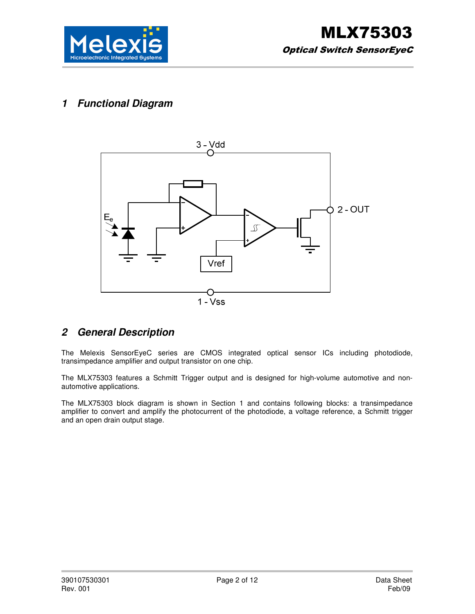

# **1 Functional Diagram**



### **2 General Description**

The Melexis SensorEyeC series are CMOS integrated optical sensor ICs including photodiode, transimpedance amplifier and output transistor on one chip.

The MLX75303 features a Schmitt Trigger output and is designed for high-volume automotive and nonautomotive applications.

The MLX75303 block diagram is shown in Section 1 and contains following blocks: a transimpedance amplifier to convert and amplify the photocurrent of the photodiode, a voltage reference, a Schmitt trigger and an open drain output stage.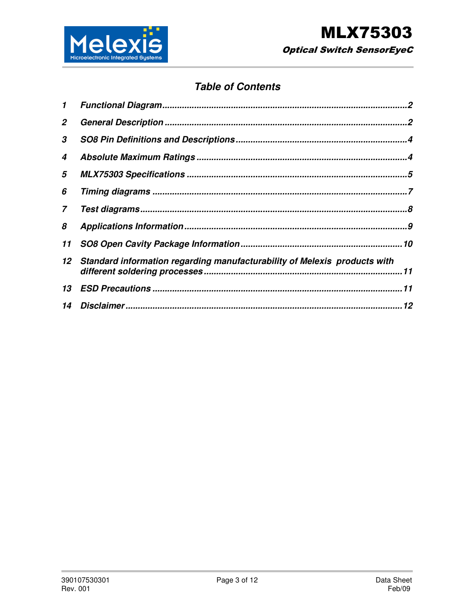

# **Table of Contents**

| 1  |                                                                           |    |
|----|---------------------------------------------------------------------------|----|
| 2  |                                                                           |    |
| 3  |                                                                           |    |
| 4  |                                                                           |    |
| 5  |                                                                           |    |
| 6  |                                                                           |    |
| 7  |                                                                           |    |
| 8  |                                                                           |    |
| 11 |                                                                           | 10 |
| 12 | Standard information regarding manufacturability of Melexis products with | 11 |
| 13 |                                                                           |    |
| 14 |                                                                           |    |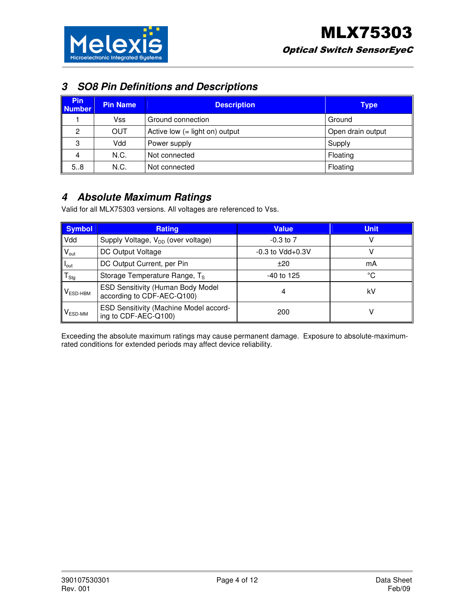

# **3 SO8 Pin Definitions and Descriptions**

| <b>Pin</b><br><b>Number</b> | <b>Pin Name</b> | <b>Description</b>               | Type              |
|-----------------------------|-----------------|----------------------------------|-------------------|
|                             | Vss             | Ground connection                | Ground            |
| 2                           | <b>OUT</b>      | Active low $(=$ light on) output | Open drain output |
| 3                           | Vdd             | Power supply                     | Supply            |
| 4                           | N.C.            | Not connected                    | Floating          |
| 5.8                         | N.C.            | Not connected                    | Floating          |

### **4 Absolute Maximum Ratings**

Valid for all MLX75303 versions. All voltages are referenced to Vss.

| <b>Symbol</b>       | <b>Rating</b>                                                   | <b>Value</b>          | <b>Unit</b> |
|---------------------|-----------------------------------------------------------------|-----------------------|-------------|
| Vdd                 | Supply Voltage, V <sub>DD</sub> (over voltage)                  | $-0.3$ to $7$         |             |
| $V_{\text{out}}$    | DC Output Voltage                                               | $-0.3$ to Vdd $+0.3V$ |             |
| $I_{\text{out}}$    | DC Output Current, per Pin                                      | ±20                   | mA          |
| $T_{\text{Stg}}$    | Storage Temperature Range, T <sub>S</sub>                       | $-40$ to 125          | °C          |
| $VESD-HBM$          | ESD Sensitivity (Human Body Model<br>according to CDF-AEC-Q100) | 4                     | kV          |
| $V_{ESD\text{-}MM}$ | ESD Sensitivity (Machine Model accord-<br>ing to CDF-AEC-Q100)  | 200                   |             |

Exceeding the absolute maximum ratings may cause permanent damage. Exposure to absolute-maximumrated conditions for extended periods may affect device reliability.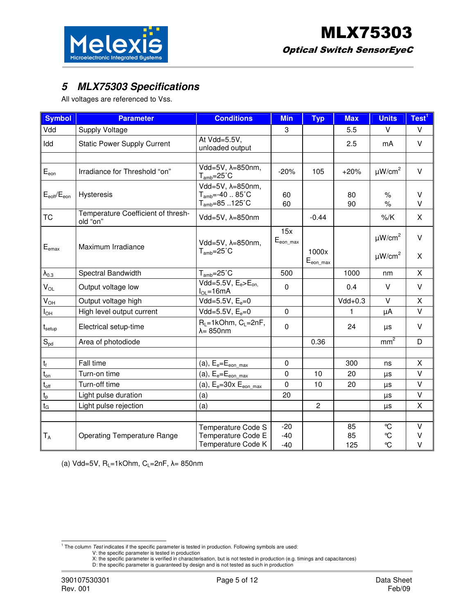



# **5 MLX75303 Specifications**

All voltages are referenced to Vss.

| <b>Symbol</b>                    | <b>Parameter</b>                               | <b>Conditions</b>                                                          | <b>Min</b>                  | <b>Typ</b>                     | <b>Max</b>      | <b>Units</b>                                       | Test <sup>1</sup> |
|----------------------------------|------------------------------------------------|----------------------------------------------------------------------------|-----------------------------|--------------------------------|-----------------|----------------------------------------------------|-------------------|
| Vdd                              | Supply Voltage                                 |                                                                            | 3                           |                                | 5.5             | $\vee$                                             | V                 |
| Idd                              | <b>Static Power Supply Current</b>             | At Vdd=5.5V,<br>unloaded output                                            |                             |                                | 2.5             | mA                                                 | $\vee$            |
|                                  |                                                |                                                                            |                             |                                |                 |                                                    |                   |
| $E_{\text{eon}}$                 | Irradiance for Threshold "on"                  | $\overline{\text{Vdd}=5V}$ , $\lambda=850$ nm,<br>$T_{amb} = 25^{\circ}$ C | $-20%$                      | 105                            | $+20%$          | $\mu W/cm^2$                                       | $\vee$            |
| $E_{\text{soft}}/E_{\text{eon}}$ | Hysteresis                                     | Vdd=5V, λ=850nm,<br>$T_{amb} = -40$ 85°C<br>$T_{amb} = 85.125^{\circ}C$    | 60<br>60                    |                                | 80<br>90        | $\%$<br>$\%$                                       | V<br>V            |
| <b>TC</b>                        | Temperature Coefficient of thresh-<br>old "on" | Vdd=5V, λ=850nm                                                            |                             | $-0.44$                        |                 | %K                                                 | X                 |
| $E_{\text{emax}}$                | Maximum Irradiance                             | Vdd=5V, λ=850nm,<br>$T_{amb} = 25^{\circ}$ C                               | 15x<br>$E_{\text{eon max}}$ | 1000x<br>$E_{\text{eon\_max}}$ |                 | $\mu$ W/cm <sup>2</sup><br>$\mu$ W/cm <sup>2</sup> | $\vee$<br>X       |
| $\lambda_{0.3}$                  | Spectral Bandwidth                             | $T_{amb} = 25^{\circ}$ C                                                   | 500                         |                                | 1000            | nm                                                 | X                 |
| $V_{OL}$                         | Output voltage low                             | $Vdd=5.5V, Ee Eon$<br>$I_{OL} = 16mA$                                      | $\mathbf 0$                 |                                | 0.4             | V                                                  | V                 |
| $V_{OH}$                         | Output voltage high                            | Vdd=5.5V, $E_e=0$                                                          |                             |                                | $Vdd+0.3$       | $\vee$                                             | X                 |
| l <sub>OH</sub>                  | High level output current                      | Vdd=5.5V, $E_e=0$                                                          | $\mathbf 0$                 |                                | 1               | μA                                                 | V                 |
| $t_{\sf setup}$                  | Electrical setup-time                          | $R_L = 1kOhm$ , $C_L = 2nF$ ,<br>$\lambda = 850$ nm                        | $\mathbf 0$                 |                                | 24              | μs                                                 | V                 |
| $\mathbb{S}_{\text{pd}}$         | Area of photodiode                             |                                                                            |                             | 0.36                           |                 | mm <sup>2</sup>                                    | D                 |
|                                  |                                                |                                                                            |                             |                                |                 |                                                    |                   |
| $\mathsf{t}_{\mathsf{f}}$        | Fall time                                      | $(a)$ , $E_e=E_{eon \, max}$                                               | $\mathbf 0$                 |                                | 300             | ns                                                 | X                 |
| $\mathfrak{t}_{\text{on}}$       | Turn-on time                                   | $(a)$ , $E_e = E_{eon max}$                                                | $\Omega$                    | 10                             | 20              | μs                                                 | V                 |
| $t_{\rm off}$                    | Turn-off time                                  | (a), $E_e = 30x E_{eon\_max}$                                              | $\Omega$                    | 10                             | 20              | $\mu s$                                            | V                 |
| $\mathfrak{t}_{\mathsf{p}}$      | Light pulse duration                           | (a)                                                                        | 20                          |                                |                 | μs                                                 | $\vee$            |
| $t_{\rm G}$                      | Light pulse rejection                          | (a)                                                                        |                             | $\overline{2}$                 |                 | $\mu s$                                            | X                 |
|                                  |                                                |                                                                            |                             |                                |                 |                                                    |                   |
| $T_A$                            | <b>Operating Temperature Range</b>             | Temperature Code S<br>Temperature Code E<br>Temperature Code K             | $-20$<br>$-40$<br>$-40$     |                                | 85<br>85<br>125 | °C<br>°C<br>°C                                     | $\vee$<br>V<br>V  |

(a) Vdd=5V,  $R_L$ =1kOhm,  $C_L$ =2nF,  $\lambda$ = 850nm

<sup>&</sup>lt;sup>1</sup> The column *Test* indicates if the specific parameter is tested in production. Following symbols are used:<br>
V: the specific parameter is tested in production<br>
X: the specific parameter is verified in characterisation,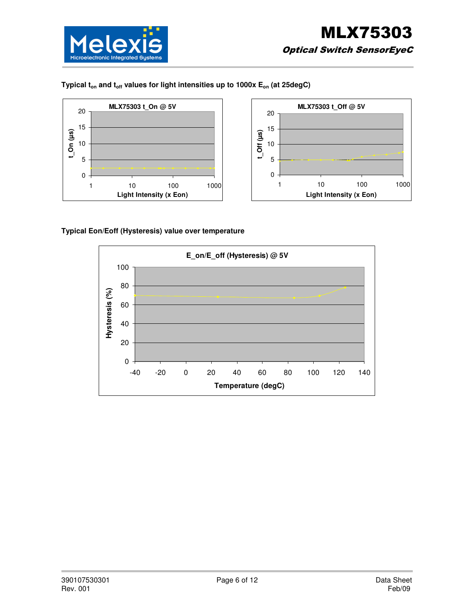

### **Typical ton and toff values for light intensities up to 1000x Eon (at 25degC)**





#### **Typical Eon/Eoff (Hysteresis) value over temperature**

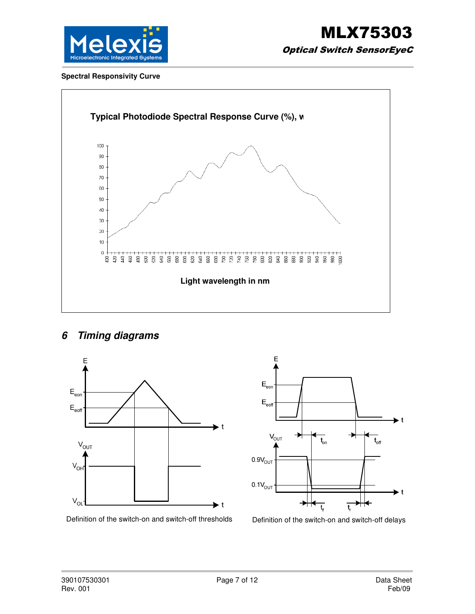

#### **Spectral Responsivity Curve**



# **6 Timing diagrams**





Definition of the switch-on and switch-off thresholds Definition of the switch-on and switch-off delays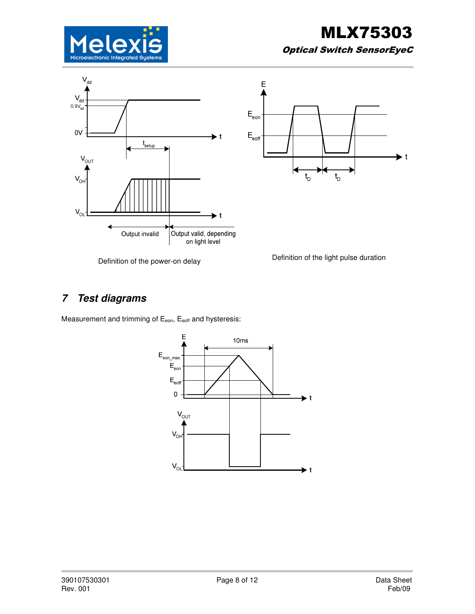





Definition of the power-on delay Definition of the light pulse duration

# **7 Test diagrams**

Measurement and trimming of  $E_{\text{eon}}$ ,  $E_{\text{soft}}$  and hysteresis:

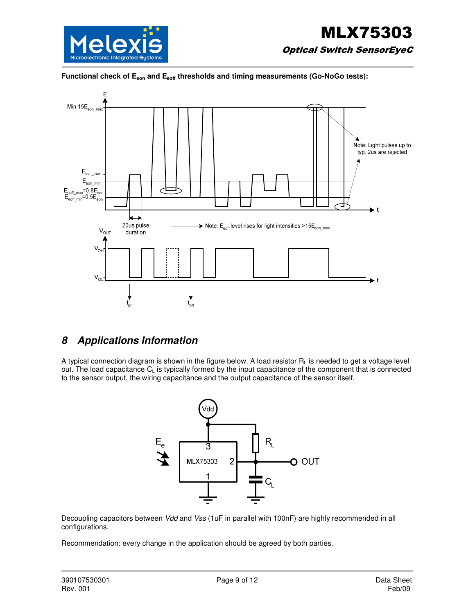





# **8 Applications Information**

A typical connection diagram is shown in the figure below. A load resistor RL is needed to get a voltage level out. The load capacitance C<sub>L</sub> is typically formed by the input capacitance of the component that is connected to the sensor output, the wiring capacitance and the output capacitance of the sensor itself.



Decoupling capacitors between Vdd and Vss (1uF in parallel with 100nF) are highly recommended in all configurations.

Recommendation: every change in the application should be agreed by both parties.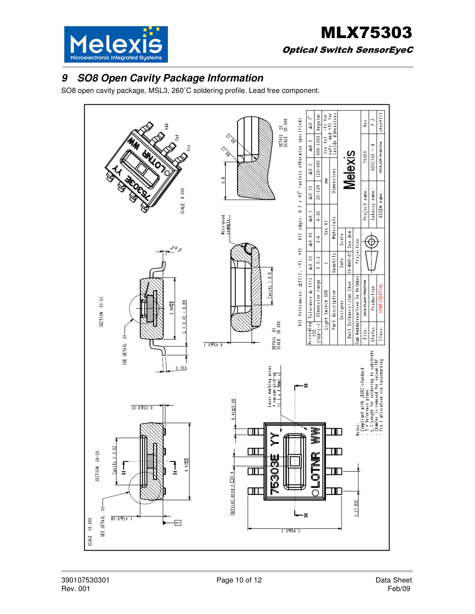

# **9 SO8 Open Cavity Package Information**

SO8 open cavity package, MSL3, 260˚C soldering profile. Lead free component.

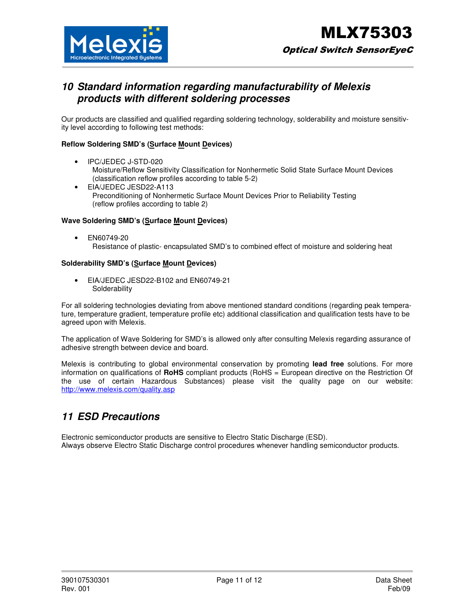

### **10 Standard information regarding manufacturability of Melexis products with different soldering processes**

Our products are classified and qualified regarding soldering technology, solderability and moisture sensitivity level according to following test methods:

#### **Reflow Soldering SMD's (Surface Mount Devices)**

- IPC/JEDEC J-STD-020 Moisture/Reflow Sensitivity Classification for Nonhermetic Solid State Surface Mount Devices (classification reflow profiles according to table 5-2)
- EIA/JEDEC JESD22-A113 Preconditioning of Nonhermetic Surface Mount Devices Prior to Reliability Testing (reflow profiles according to table 2)

#### **Wave Soldering SMD's (Surface Mount Devices)**

• EN60749-20 Resistance of plastic- encapsulated SMD's to combined effect of moisture and soldering heat

#### **Solderability SMD's (Surface Mount Devices)**

• EIA/JEDEC JESD22-B102 and EN60749-21 **Solderability** 

For all soldering technologies deviating from above mentioned standard conditions (regarding peak temperature, temperature gradient, temperature profile etc) additional classification and qualification tests have to be agreed upon with Melexis.

The application of Wave Soldering for SMD's is allowed only after consulting Melexis regarding assurance of adhesive strength between device and board.

Melexis is contributing to global environmental conservation by promoting **lead free** solutions. For more information on qualifications of **RoHS** compliant products (RoHS = European directive on the Restriction Of the use of certain Hazardous Substances) please visit the quality page on our website: http://www.melexis.com/quality.asp

### **11 ESD Precautions**

Electronic semiconductor products are sensitive to Electro Static Discharge (ESD). Always observe Electro Static Discharge control procedures whenever handling semiconductor products.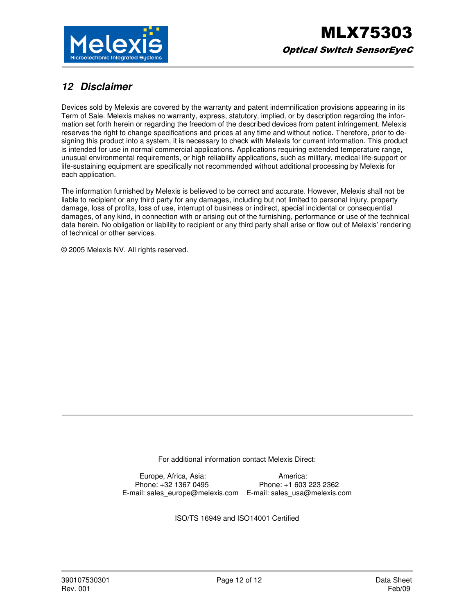

# **12 Disclaimer**

Devices sold by Melexis are covered by the warranty and patent indemnification provisions appearing in its Term of Sale. Melexis makes no warranty, express, statutory, implied, or by description regarding the information set forth herein or regarding the freedom of the described devices from patent infringement. Melexis reserves the right to change specifications and prices at any time and without notice. Therefore, prior to designing this product into a system, it is necessary to check with Melexis for current information. This product is intended for use in normal commercial applications. Applications requiring extended temperature range, unusual environmental requirements, or high reliability applications, such as military, medical life-support or life-sustaining equipment are specifically not recommended without additional processing by Melexis for each application.

The information furnished by Melexis is believed to be correct and accurate. However, Melexis shall not be liable to recipient or any third party for any damages, including but not limited to personal injury, property damage, loss of profits, loss of use, interrupt of business or indirect, special incidental or consequential damages, of any kind, in connection with or arising out of the furnishing, performance or use of the technical data herein. No obligation or liability to recipient or any third party shall arise or flow out of Melexis' rendering of technical or other services.

© 2005 Melexis NV. All rights reserved.

For additional information contact Melexis Direct:

Europe, Africa, Asia: America: Phone: +32 1367 0495 Phone: +1 603 223 2362 E-mail: sales\_europe@melexis.com E-mail: sales\_usa@melexis.com

ISO/TS 16949 and ISO14001 Certified